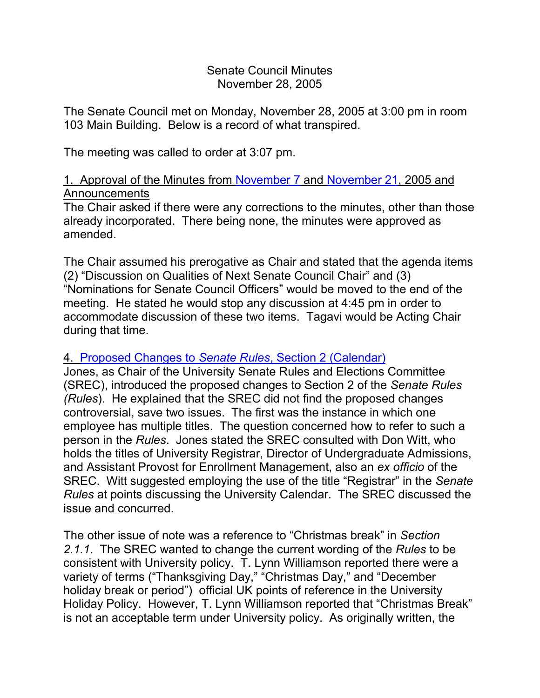#### Senate Council Minutes November 28, 2005

The Senate Council met on Monday, November 28, 2005 at 3:00 pm in room 103 Main Building. Below is a record of what transpired.

The meeting was called to order at 3:07 pm.

### 1. Approval of the Minutes from [November 7](http://www.uky.edu/USC/New/SCMinutes/2005-2006/SC%20Minutes%20November%207%202005%20FINAL.htm) and [November 21,](http://www.uky.edu/USC/New/SCMinutes/2005-2006/SC%20Minutes%20November%2021%202005%20FINAL.htm) 2005 and Announcements

The Chair asked if there were any corrections to the minutes, other than those already incorporated. There being none, the minutes were approved as amended.

The Chair assumed his prerogative as Chair and stated that the agenda items (2) "Discussion on Qualities of Next Senate Council Chair" and (3) "Nominations for Senate Council Officers" would be moved to the end of the meeting. He stated he would stop any discussion at 4:45 pm in order to accommodate discussion of these two items. Tagavi would be Acting Chair during that time.

# 4. [Proposed Changes to](http://www.uky.edu/USC/New/Comms/RulesAndElections/Section%20II%20Draft%20Nov%2023%202005.doc) *Senate Rules*, Section 2 (Calendar)

Jones, as Chair of the University Senate Rules and Elections Committee (SREC), introduced the proposed changes to Section 2 of the *Senate Rules (Rules*). He explained that the SREC did not find the proposed changes controversial, save two issues. The first was the instance in which one employee has multiple titles. The question concerned how to refer to such a person in the *Rules*. Jones stated the SREC consulted with Don Witt, who holds the titles of University Registrar, Director of Undergraduate Admissions, and Assistant Provost for Enrollment Management, also an *ex officio* of the SREC. Witt suggested employing the use of the title "Registrar" in the *Senate Rules* at points discussing the University Calendar. The SREC discussed the issue and concurred.

The other issue of note was a reference to "Christmas break" in *Section 2.1.1*. The SREC wanted to change the current wording of the *Rules* to be consistent with University policy. T. Lynn Williamson reported there were a variety of terms ("Thanksgiving Day," "Christmas Day," and "December holiday break or period") official UK points of reference in the University Holiday Policy. However, T. Lynn Williamson reported that "Christmas Break" is not an acceptable term under University policy. As originally written, the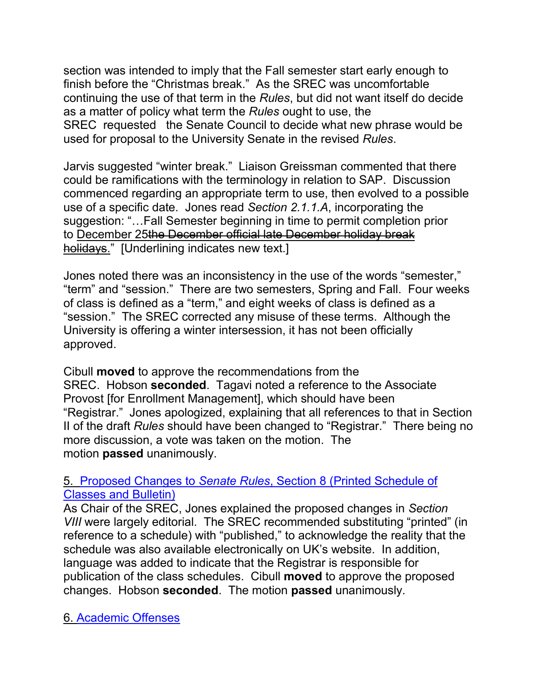section was intended to imply that the Fall semester start early enough to finish before the "Christmas break." As the SREC was uncomfortable continuing the use of that term in the *Rules*, but did not want itself do decide as a matter of policy what term the *Rules* ought to use, the SREC requested the Senate Council to decide what new phrase would be used for proposal to the University Senate in the revised *Rules*.

Jarvis suggested "winter break." Liaison Greissman commented that there could be ramifications with the terminology in relation to SAP. Discussion commenced regarding an appropriate term to use, then evolved to a possible use of a specific date. Jones read *Section 2.1.1.A*, incorporating the suggestion: "…Fall Semester beginning in time to permit completion prior to December 25the December official late December holiday break holidays." [Underlining indicates new text.]

Jones noted there was an inconsistency in the use of the words "semester," "term" and "session." There are two semesters, Spring and Fall. Four weeks of class is defined as a "term," and eight weeks of class is defined as a "session." The SREC corrected any misuse of these terms. Although the University is offering a winter intersession, it has not been officially approved.

Cibull **moved** to approve the recommendations from the SREC. Hobson **seconded**. Tagavi noted a reference to the Associate Provost [for Enrollment Management], which should have been "Registrar." Jones apologized, explaining that all references to that in Section II of the draft *Rules* should have been changed to "Registrar." There being no more discussion, a vote was taken on the motion. The motion **passed** unanimously.

### 5. Proposed Changes to *Senate Rules*[, Section 8 \(Printed Schedule of](http://www.uky.edu/USC/New/Comms/RulesAndElections/Section%20VIII%20Draft%2011-28-05.doc)  [Classes and Bulletin\)](http://www.uky.edu/USC/New/Comms/RulesAndElections/Section%20VIII%20Draft%2011-28-05.doc)

As Chair of the SREC, Jones explained the proposed changes in *Section VIII* were largely editorial. The SREC recommended substituting "printed" (in reference to a schedule) with "published," to acknowledge the reality that the schedule was also available electronically on UK's website. In addition, language was added to indicate that the Registrar is responsible for publication of the class schedules. Cibull **moved** to approve the proposed changes. Hobson **seconded**. The motion **passed** unanimously.

6. [Academic Offenses](http://www.uky.edu/USC/New/Comms/AcadOffense/prop_acad_offenses_no_autosunset.pdf)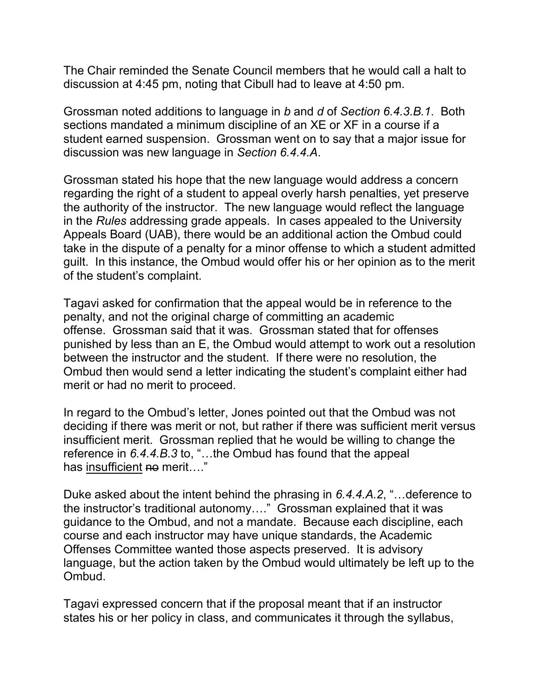The Chair reminded the Senate Council members that he would call a halt to discussion at 4:45 pm, noting that Cibull had to leave at 4:50 pm.

Grossman noted additions to language in *b* and *d* of *Section 6.4.3.B.1*. Both sections mandated a minimum discipline of an XE or XF in a course if a student earned suspension. Grossman went on to say that a major issue for discussion was new language in *Section 6.4.4.A*.

Grossman stated his hope that the new language would address a concern regarding the right of a student to appeal overly harsh penalties, yet preserve the authority of the instructor. The new language would reflect the language in the *Rules* addressing grade appeals. In cases appealed to the University Appeals Board (UAB), there would be an additional action the Ombud could take in the dispute of a penalty for a minor offense to which a student admitted guilt. In this instance, the Ombud would offer his or her opinion as to the merit of the student's complaint.

Tagavi asked for confirmation that the appeal would be in reference to the penalty, and not the original charge of committing an academic offense. Grossman said that it was. Grossman stated that for offenses punished by less than an E, the Ombud would attempt to work out a resolution between the instructor and the student. If there were no resolution, the Ombud then would send a letter indicating the student's complaint either had merit or had no merit to proceed.

In regard to the Ombud's letter, Jones pointed out that the Ombud was not deciding if there was merit or not, but rather if there was sufficient merit versus insufficient merit. Grossman replied that he would be willing to change the reference in *6.4.4.B.3* to, "…the Ombud has found that the appeal has insufficient no merit...."

Duke asked about the intent behind the phrasing in *6.4.4.A.2*, "…deference to the instructor's traditional autonomy…." Grossman explained that it was guidance to the Ombud, and not a mandate. Because each discipline, each course and each instructor may have unique standards, the Academic Offenses Committee wanted those aspects preserved. It is advisory language, but the action taken by the Ombud would ultimately be left up to the Ombud.

Tagavi expressed concern that if the proposal meant that if an instructor states his or her policy in class, and communicates it through the syllabus,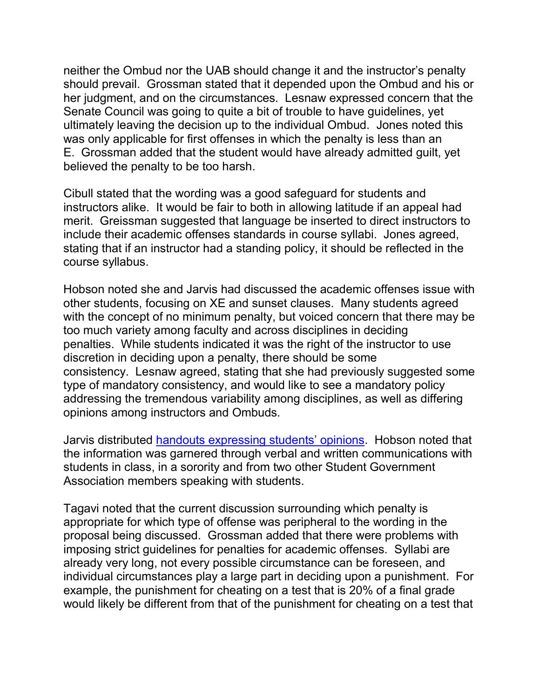neither the Ombud nor the UAB should change it and the instructor's penalty should prevail. Grossman stated that it depended upon the Ombud and his or her judgment, and on the circumstances. Lesnaw expressed concern that the Senate Council was going to quite a bit of trouble to have guidelines, yet ultimately leaving the decision up to the individual Ombud. Jones noted this was only applicable for first offenses in which the penalty is less than an E. Grossman added that the student would have already admitted guilt, yet believed the penalty to be too harsh.

Cibull stated that the wording was a good safeguard for students and instructors alike. It would be fair to both in allowing latitude if an appeal had merit. Greissman suggested that language be inserted to direct instructors to include their academic offenses standards in course syllabi. Jones agreed, stating that if an instructor had a standing policy, it should be reflected in the course syllabus.

Hobson noted she and Jarvis had discussed the academic offenses issue with other students, focusing on XE and sunset clauses. Many students agreed with the concept of no minimum penalty, but voiced concern that there may be too much variety among faculty and across disciplines in deciding penalties. While students indicated it was the right of the instructor to use discretion in deciding upon a penalty, there should be some consistency. Lesnaw agreed, stating that she had previously suggested some type of mandatory consistency, and would like to see a mandatory policy addressing the tremendous variability among disciplines, as well as differing opinions among instructors and Ombuds.

Jarvis distributed [handouts expressing students' opinions.](http://www.uky.edu/USC/New/SCAgendas/20051128/student%20handout_11-28-05.pdf) Hobson noted that the information was garnered through verbal and written communications with students in class, in a sorority and from two other Student Government Association members speaking with students.

Tagavi noted that the current discussion surrounding which penalty is appropriate for which type of offense was peripheral to the wording in the proposal being discussed. Grossman added that there were problems with imposing strict guidelines for penalties for academic offenses. Syllabi are already very long, not every possible circumstance can be foreseen, and individual circumstances play a large part in deciding upon a punishment. For example, the punishment for cheating on a test that is 20% of a final grade would likely be different from that of the punishment for cheating on a test that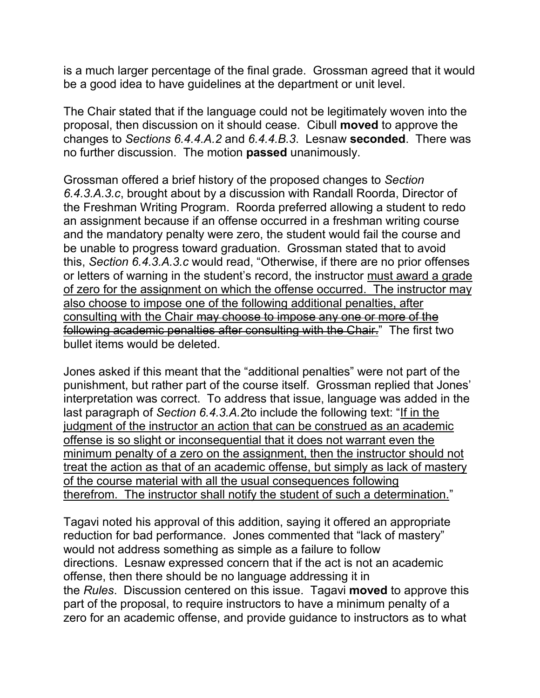is a much larger percentage of the final grade. Grossman agreed that it would be a good idea to have guidelines at the department or unit level.

The Chair stated that if the language could not be legitimately woven into the proposal, then discussion on it should cease. Cibull **moved** to approve the changes to *Sections 6.4.4.A.2* and *6.4.4.B.3*. Lesnaw **seconded**. There was no further discussion. The motion **passed** unanimously.

Grossman offered a brief history of the proposed changes to *Section 6.4.3.A.3.c*, brought about by a discussion with Randall Roorda, Director of the Freshman Writing Program. Roorda preferred allowing a student to redo an assignment because if an offense occurred in a freshman writing course and the mandatory penalty were zero, the student would fail the course and be unable to progress toward graduation. Grossman stated that to avoid this, *Section 6.4.3.A.3.c* would read, "Otherwise, if there are no prior offenses or letters of warning in the student's record, the instructor must award a grade of zero for the assignment on which the offense occurred. The instructor may also choose to impose one of the following additional penalties, after consulting with the Chair may choose to impose any one or more of the following academic penalties after consulting with the Chair." The first two bullet items would be deleted.

Jones asked if this meant that the "additional penalties" were not part of the punishment, but rather part of the course itself. Grossman replied that Jones' interpretation was correct. To address that issue, language was added in the last paragraph of *Section 6.4.3.A.2*to include the following text: "If in the judgment of the instructor an action that can be construed as an academic offense is so slight or inconsequential that it does not warrant even the minimum penalty of a zero on the assignment, then the instructor should not treat the action as that of an academic offense, but simply as lack of mastery of the course material with all the usual consequences following therefrom. The instructor shall notify the student of such a determination."

Tagavi noted his approval of this addition, saying it offered an appropriate reduction for bad performance. Jones commented that "lack of mastery" would not address something as simple as a failure to follow directions. Lesnaw expressed concern that if the act is not an academic offense, then there should be no language addressing it in the *Rules*. Discussion centered on this issue. Tagavi **moved** to approve this part of the proposal, to require instructors to have a minimum penalty of a zero for an academic offense, and provide guidance to instructors as to what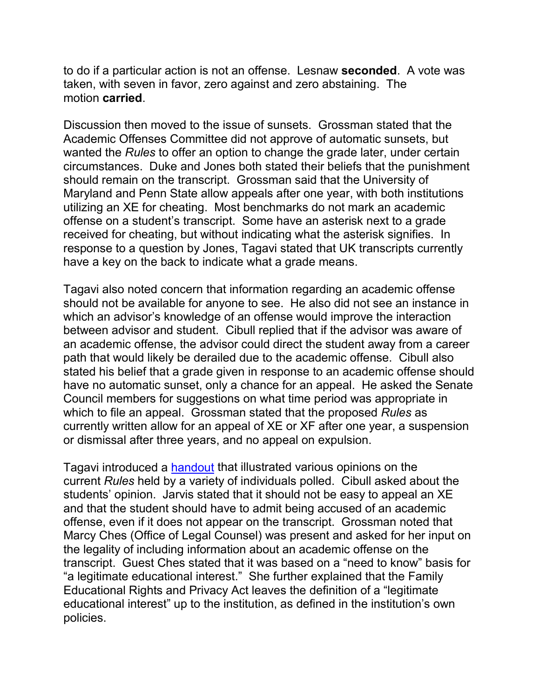to do if a particular action is not an offense. Lesnaw **seconded**. A vote was taken, with seven in favor, zero against and zero abstaining. The motion **carried**.

Discussion then moved to the issue of sunsets. Grossman stated that the Academic Offenses Committee did not approve of automatic sunsets, but wanted the *Rules* to offer an option to change the grade later, under certain circumstances. Duke and Jones both stated their beliefs that the punishment should remain on the transcript. Grossman said that the University of Maryland and Penn State allow appeals after one year, with both institutions utilizing an XE for cheating. Most benchmarks do not mark an academic offense on a student's transcript. Some have an asterisk next to a grade received for cheating, but without indicating what the asterisk signifies. In response to a question by Jones, Tagavi stated that UK transcripts currently have a key on the back to indicate what a grade means.

Tagavi also noted concern that information regarding an academic offense should not be available for anyone to see. He also did not see an instance in which an advisor's knowledge of an offense would improve the interaction between advisor and student. Cibull replied that if the advisor was aware of an academic offense, the advisor could direct the student away from a career path that would likely be derailed due to the academic offense. Cibull also stated his belief that a grade given in response to an academic offense should have no automatic sunset, only a chance for an appeal. He asked the Senate Council members for suggestions on what time period was appropriate in which to file an appeal. Grossman stated that the proposed *Rules* as currently written allow for an appeal of XE or XF after one year, a suspension or dismissal after three years, and no appeal on expulsion.

Tagavi introduced a [handout](http://www.uky.edu/USC/New/SCAgendas/20051128/Survey_Tagavi_11-21%20and%2028-05.doc) that illustrated various opinions on the current *Rules* held by a variety of individuals polled. Cibull asked about the students' opinion. Jarvis stated that it should not be easy to appeal an XE and that the student should have to admit being accused of an academic offense, even if it does not appear on the transcript. Grossman noted that Marcy Ches (Office of Legal Counsel) was present and asked for her input on the legality of including information about an academic offense on the transcript. Guest Ches stated that it was based on a "need to know" basis for "a legitimate educational interest." She further explained that the Family Educational Rights and Privacy Act leaves the definition of a "legitimate educational interest" up to the institution, as defined in the institution's own policies.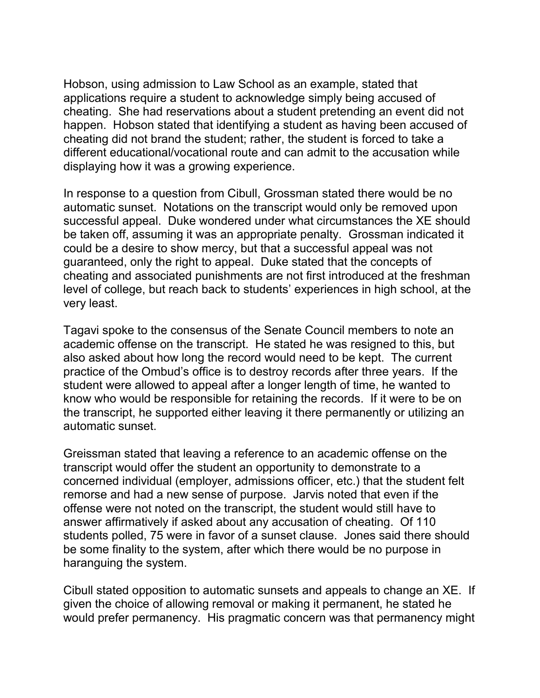Hobson, using admission to Law School as an example, stated that applications require a student to acknowledge simply being accused of cheating. She had reservations about a student pretending an event did not happen. Hobson stated that identifying a student as having been accused of cheating did not brand the student; rather, the student is forced to take a different educational/vocational route and can admit to the accusation while displaying how it was a growing experience.

In response to a question from Cibull, Grossman stated there would be no automatic sunset. Notations on the transcript would only be removed upon successful appeal. Duke wondered under what circumstances the XE should be taken off, assuming it was an appropriate penalty. Grossman indicated it could be a desire to show mercy, but that a successful appeal was not guaranteed, only the right to appeal. Duke stated that the concepts of cheating and associated punishments are not first introduced at the freshman level of college, but reach back to students' experiences in high school, at the very least.

Tagavi spoke to the consensus of the Senate Council members to note an academic offense on the transcript. He stated he was resigned to this, but also asked about how long the record would need to be kept. The current practice of the Ombud's office is to destroy records after three years. If the student were allowed to appeal after a longer length of time, he wanted to know who would be responsible for retaining the records. If it were to be on the transcript, he supported either leaving it there permanently or utilizing an automatic sunset.

Greissman stated that leaving a reference to an academic offense on the transcript would offer the student an opportunity to demonstrate to a concerned individual (employer, admissions officer, etc.) that the student felt remorse and had a new sense of purpose. Jarvis noted that even if the offense were not noted on the transcript, the student would still have to answer affirmatively if asked about any accusation of cheating. Of 110 students polled, 75 were in favor of a sunset clause. Jones said there should be some finality to the system, after which there would be no purpose in haranguing the system.

Cibull stated opposition to automatic sunsets and appeals to change an XE. If given the choice of allowing removal or making it permanent, he stated he would prefer permanency. His pragmatic concern was that permanency might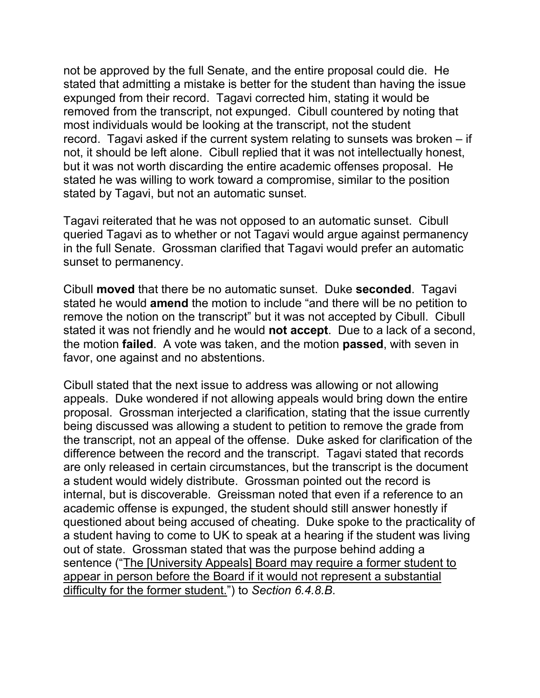not be approved by the full Senate, and the entire proposal could die. He stated that admitting a mistake is better for the student than having the issue expunged from their record. Tagavi corrected him, stating it would be removed from the transcript, not expunged. Cibull countered by noting that most individuals would be looking at the transcript, not the student record. Tagavi asked if the current system relating to sunsets was broken – if not, it should be left alone. Cibull replied that it was not intellectually honest, but it was not worth discarding the entire academic offenses proposal. He stated he was willing to work toward a compromise, similar to the position stated by Tagavi, but not an automatic sunset.

Tagavi reiterated that he was not opposed to an automatic sunset. Cibull queried Tagavi as to whether or not Tagavi would argue against permanency in the full Senate. Grossman clarified that Tagavi would prefer an automatic sunset to permanency.

Cibull **moved** that there be no automatic sunset. Duke **seconded**. Tagavi stated he would **amend** the motion to include "and there will be no petition to remove the notion on the transcript" but it was not accepted by Cibull. Cibull stated it was not friendly and he would **not accept**. Due to a lack of a second, the motion **failed**. A vote was taken, and the motion **passed**, with seven in favor, one against and no abstentions.

Cibull stated that the next issue to address was allowing or not allowing appeals. Duke wondered if not allowing appeals would bring down the entire proposal. Grossman interjected a clarification, stating that the issue currently being discussed was allowing a student to petition to remove the grade from the transcript, not an appeal of the offense. Duke asked for clarification of the difference between the record and the transcript. Tagavi stated that records are only released in certain circumstances, but the transcript is the document a student would widely distribute. Grossman pointed out the record is internal, but is discoverable. Greissman noted that even if a reference to an academic offense is expunged, the student should still answer honestly if questioned about being accused of cheating. Duke spoke to the practicality of a student having to come to UK to speak at a hearing if the student was living out of state. Grossman stated that was the purpose behind adding a sentence ("The [University Appeals] Board may require a former student to appear in person before the Board if it would not represent a substantial difficulty for the former student.") to *Section 6.4.8.B*.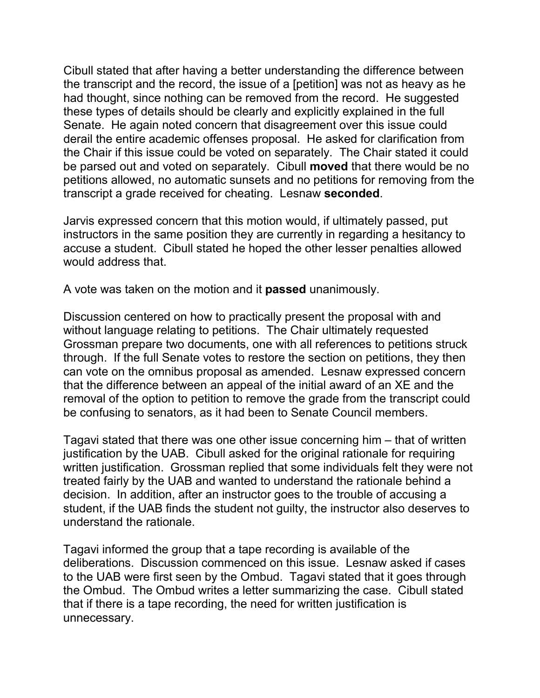Cibull stated that after having a better understanding the difference between the transcript and the record, the issue of a [petition] was not as heavy as he had thought, since nothing can be removed from the record. He suggested these types of details should be clearly and explicitly explained in the full Senate. He again noted concern that disagreement over this issue could derail the entire academic offenses proposal. He asked for clarification from the Chair if this issue could be voted on separately. The Chair stated it could be parsed out and voted on separately. Cibull **moved** that there would be no petitions allowed, no automatic sunsets and no petitions for removing from the transcript a grade received for cheating. Lesnaw **seconded**.

Jarvis expressed concern that this motion would, if ultimately passed, put instructors in the same position they are currently in regarding a hesitancy to accuse a student. Cibull stated he hoped the other lesser penalties allowed would address that.

A vote was taken on the motion and it **passed** unanimously.

Discussion centered on how to practically present the proposal with and without language relating to petitions. The Chair ultimately requested Grossman prepare two documents, one with all references to petitions struck through. If the full Senate votes to restore the section on petitions, they then can vote on the omnibus proposal as amended. Lesnaw expressed concern that the difference between an appeal of the initial award of an XE and the removal of the option to petition to remove the grade from the transcript could be confusing to senators, as it had been to Senate Council members.

Tagavi stated that there was one other issue concerning him – that of written justification by the UAB. Cibull asked for the original rationale for requiring written justification. Grossman replied that some individuals felt they were not treated fairly by the UAB and wanted to understand the rationale behind a decision. In addition, after an instructor goes to the trouble of accusing a student, if the UAB finds the student not guilty, the instructor also deserves to understand the rationale.

Tagavi informed the group that a tape recording is available of the deliberations. Discussion commenced on this issue. Lesnaw asked if cases to the UAB were first seen by the Ombud. Tagavi stated that it goes through the Ombud. The Ombud writes a letter summarizing the case. Cibull stated that if there is a tape recording, the need for written justification is unnecessary.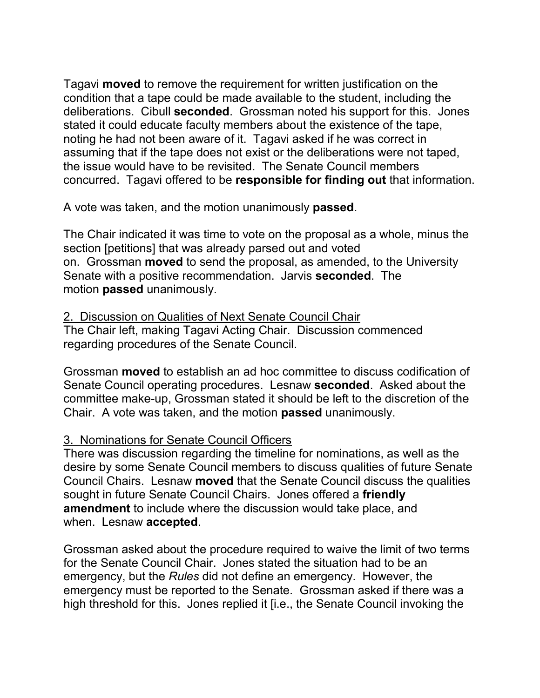Tagavi **moved** to remove the requirement for written justification on the condition that a tape could be made available to the student, including the deliberations. Cibull **seconded**. Grossman noted his support for this. Jones stated it could educate faculty members about the existence of the tape, noting he had not been aware of it. Tagavi asked if he was correct in assuming that if the tape does not exist or the deliberations were not taped, the issue would have to be revisited. The Senate Council members concurred. Tagavi offered to be **responsible for finding out** that information.

A vote was taken, and the motion unanimously **passed**.

The Chair indicated it was time to vote on the proposal as a whole, minus the section [petitions] that was already parsed out and voted on. Grossman **moved** to send the proposal, as amended, to the University Senate with a positive recommendation. Jarvis **seconded**. The motion **passed** unanimously.

# 2. Discussion on Qualities of Next Senate Council Chair

The Chair left, making Tagavi Acting Chair. Discussion commenced regarding procedures of the Senate Council.

Grossman **moved** to establish an ad hoc committee to discuss codification of Senate Council operating procedures. Lesnaw **seconded**. Asked about the committee make-up, Grossman stated it should be left to the discretion of the Chair. A vote was taken, and the motion **passed** unanimously.

# 3. Nominations for Senate Council Officers

There was discussion regarding the timeline for nominations, as well as the desire by some Senate Council members to discuss qualities of future Senate Council Chairs. Lesnaw **moved** that the Senate Council discuss the qualities sought in future Senate Council Chairs. Jones offered a **friendly amendment** to include where the discussion would take place, and when. Lesnaw **accepted**.

Grossman asked about the procedure required to waive the limit of two terms for the Senate Council Chair. Jones stated the situation had to be an emergency, but the *Rules* did not define an emergency. However, the emergency must be reported to the Senate. Grossman asked if there was a high threshold for this. Jones replied it [i.e., the Senate Council invoking the